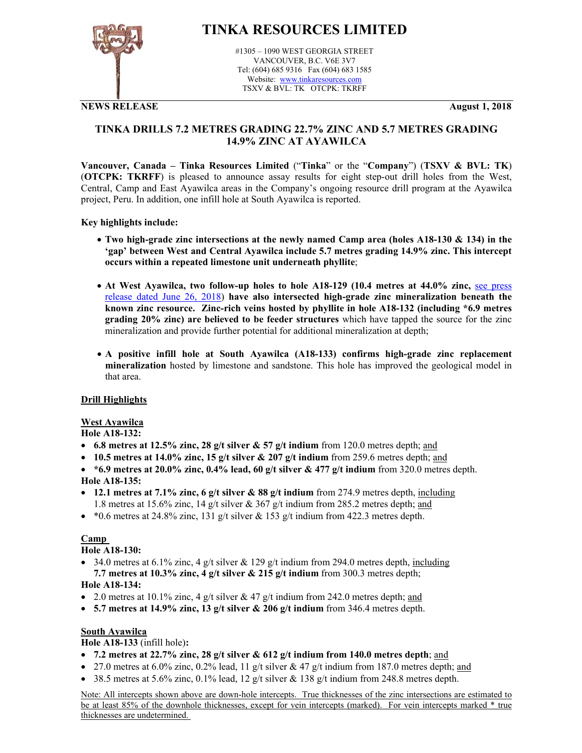

# **TINKA RESOURCES LIMITED**

#1305 – 1090 WEST GEORGIA STREET VANCOUVER, B.C. V6E 3V7 Tel: (604) 685 9316 Fax (604) 683 1585 Website: www.tinkaresources.com TSXV & BVL: TK OTCPK: TKRFF

**NEWS RELEASE August 1, 2018**

### **TINKA DRILLS 7.2 METRES GRADING 22.7% ZINC AND 5.7 METRES GRADING 14.9% ZINC AT AYAWILCA**

**Vancouver, Canada – Tinka Resources Limited** ("**Tinka**" or the "**Company**") (**TSXV & BVL: TK**) (**OTCPK: TKRFF**) is pleased to announce assay results for eight step-out drill holes from the West, Central, Camp and East Ayawilca areas in the Company's ongoing resource drill program at the Ayawilca project, Peru. In addition, one infill hole at South Ayawilca is reported.

#### **Key highlights include:**

- **Two high-grade zinc intersections at the newly named Camp area (holes A18-130 & 134) in the 'gap' between West and Central Ayawilca include 5.7 metres grading 14.9% zinc. This intercept occurs within a repeated limestone unit underneath phyllite**;
- At West Ayawilca, two follow-up holes to hole A18-129 (10.4 metres at 44.0% zinc, see press release dated June 26, 2018) **have also intersected high-grade zinc mineralization beneath the known zinc resource. Zinc-rich veins hosted by phyllite in hole A18-132 (including \*6.9 metres grading 20% zinc) are believed to be feeder structures** which have tapped the source for the zinc mineralization and provide further potential for additional mineralization at depth;
- **A positive infill hole at South Ayawilca (A18-133) confirms high-grade zinc replacement mineralization** hosted by limestone and sandstone. This hole has improved the geological model in that area.

#### **Drill Highlights**

## **West Ayawilca**

#### **Hole A18-132:**

- **6.8 metres at 12.5% zinc, 28 g/t silver & 57 g/t indium** from 120.0 metres depth; and
- **10.5 metres at 14.0% zinc, 15 g/t silver & 207 g/t indium** from 259.6 metres depth; and
- **\*6.9 metres at 20.0% zinc, 0.4% lead, 60 g/t silver & 477 g/t indium** from 320.0 metres depth. **Hole A18-135:**
- **12.1 metres at 7.1% zinc, 6 g/t silver & 88 g/t indium** from 274.9 metres depth, including 1.8 metres at 15.6% zinc, 14 g/t silver & 367 g/t indium from 285.2 metres depth; and
- \*0.6 metres at 24.8% zinc, 131 g/t silver & 153 g/t indium from 422.3 metres depth.

#### **Camp**

#### **Hole A18-130:**

- $\bullet$  34.0 metres at 6.1% zinc, 4 g/t silver & 129 g/t indium from 294.0 metres depth, including **7.7 metres at 10.3% zinc, 4 g/t silver & 215 g/t indium** from 300.3 metres depth; **Hole A18-134:**
- 2.0 metres at 10.1% zinc, 4 g/t silver & 47 g/t indium from 242.0 metres depth; and
- **5.7 metres at 14.9% zinc, 13 g/t silver & 206 g/t indium** from 346.4 metres depth.

#### **South Ayawilca**

#### **Hole A18-133** (infill hole)**:**

- **7.2 metres at 22.7% zinc, 28 g/t silver & 612 g/t indium from 140.0 metres depth**; and
- 27.0 metres at 6.0% zinc, 0.2% lead, 11 g/t silver & 47 g/t indium from 187.0 metres depth; and
- 38.5 metres at 5.6% zinc, 0.1% lead, 12 g/t silver & 138 g/t indium from 248.8 metres depth.

Note: All intercepts shown above are down-hole intercepts. True thicknesses of the zinc intersections are estimated to be at least 85% of the downhole thicknesses, except for vein intercepts (marked). For vein intercepts marked \* true thicknesses are undetermined.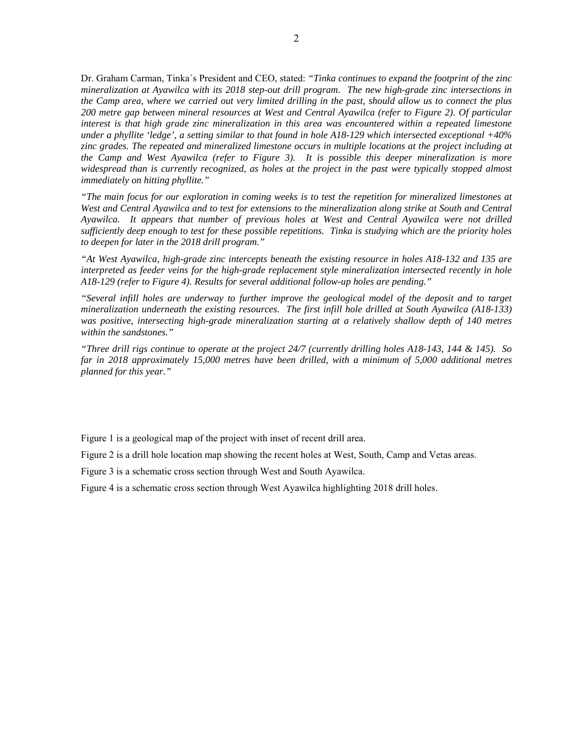Dr. Graham Carman, Tinka´s President and CEO, stated: *"Tinka continues to expand the footprint of the zinc mineralization at Ayawilca with its 2018 step-out drill program. The new high-grade zinc intersections in the Camp area, where we carried out very limited drilling in the past, should allow us to connect the plus 200 metre gap between mineral resources at West and Central Ayawilca (refer to Figure 2). Of particular interest is that high grade zinc mineralization in this area was encountered within a repeated limestone under a phyllite 'ledge', a setting similar to that found in hole A18-129 which intersected exceptional +40% zinc grades. The repeated and mineralized limestone occurs in multiple locations at the project including at the Camp and West Ayawilca (refer to Figure 3). It is possible this deeper mineralization is more widespread than is currently recognized, as holes at the project in the past were typically stopped almost immediately on hitting phyllite."* 

*"The main focus for our exploration in coming weeks is to test the repetition for mineralized limestones at West and Central Ayawilca and to test for extensions to the mineralization along strike at South and Central Ayawilca. It appears that number of previous holes at West and Central Ayawilca were not drilled sufficiently deep enough to test for these possible repetitions. Tinka is studying which are the priority holes to deepen for later in the 2018 drill program."* 

*"At West Ayawilca, high-grade zinc intercepts beneath the existing resource in holes A18-132 and 135 are interpreted as feeder veins for the high-grade replacement style mineralization intersected recently in hole A18-129 (refer to Figure 4). Results for several additional follow-up holes are pending."* 

*"Several infill holes are underway to further improve the geological model of the deposit and to target mineralization underneath the existing resources. The first infill hole drilled at South Ayawilca (A18-133) was positive, intersecting high-grade mineralization starting at a relatively shallow depth of 140 metres within the sandstones."* 

*"Three drill rigs continue to operate at the project 24/7 (currently drilling holes A18-143, 144 & 145). So far in 2018 approximately 15,000 metres have been drilled, with a minimum of 5,000 additional metres planned for this year."* 

Figure 1 is a geological map of the project with inset of recent drill area.

Figure 2 is a drill hole location map showing the recent holes at West, South, Camp and Vetas areas.

Figure 3 is a schematic cross section through West and South Ayawilca.

Figure 4 is a schematic cross section through West Ayawilca highlighting 2018 drill holes.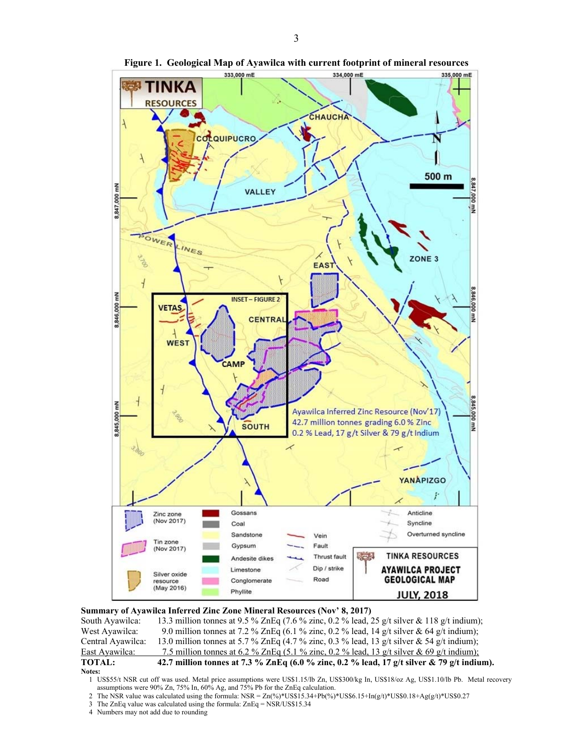

**Figure 1. Geological Map of Ayawilca with current footprint of mineral resources** 

# **Summary of Ayawilca Inferred Zinc Zone Mineral Resources (Nov' 8, 2017)** South Ayawilca: 13.3 million tonnes at 9.5 % ZnEq (7.6 % zinc, 0.2 % lead, 2

13.3 million tonnes at 9.5 % ZnEq (7.6 % zinc, 0.2 % lead, 25 g/t silver & 118 g/t indium); West Ayawilca: 9.0 million tonnes at 7.2 % ZnEq (6.1 % zinc, 0.2 % lead, 14 g/t silver & 64 g/t indium); Central Ayawilca: 13.0 million tonnes at 5.7 % ZnEq (4.7 % zinc, 0.3 % lead, 13 g/t silver & 54 g/t indium); East Ayawilca: 7.5 million tonnes at 6.2 % ZnEq (5.1 % zinc, 0.2 % lead, 13 g/t silver & 69 g/t indium); **TOTAL:** 42.7 million tonnes at 7.3 % ZnEq (6.0 % zinc, 0.2 % lead, 17 g/t silver & 79 g/t indium).

- 2 The NSR value was calculated using the formula:  $NSR = Zn(\frac{96}{8})*USS15.34+Pb(\frac{96}{8})*USS6.15+In(\frac{1}{2})*USS0.18+Ag(\frac{1}{2})*USS0.27$
- 3 The ZnEq value was calculated using the formula: ZnEq = NSR/US\$15.34
- 4 Numbers may not add due to rounding

**Notes:** 

<sup>1</sup> US\$55/t NSR cut off was used. Metal price assumptions were US\$1.15/lb Zn, US\$300/kg In, US\$18/oz Ag, US\$1.10/lb Pb. Metal recovery assumptions were 90% Zn, 75% In, 60% Ag, and 75% Pb for the ZnEq calculation.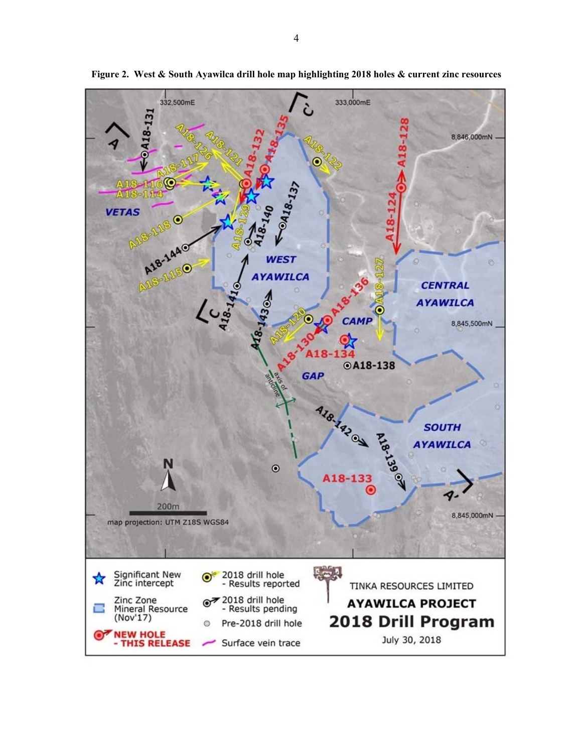

**Figure 2. West & South Ayawilca drill hole map highlighting 2018 holes & current zinc resources**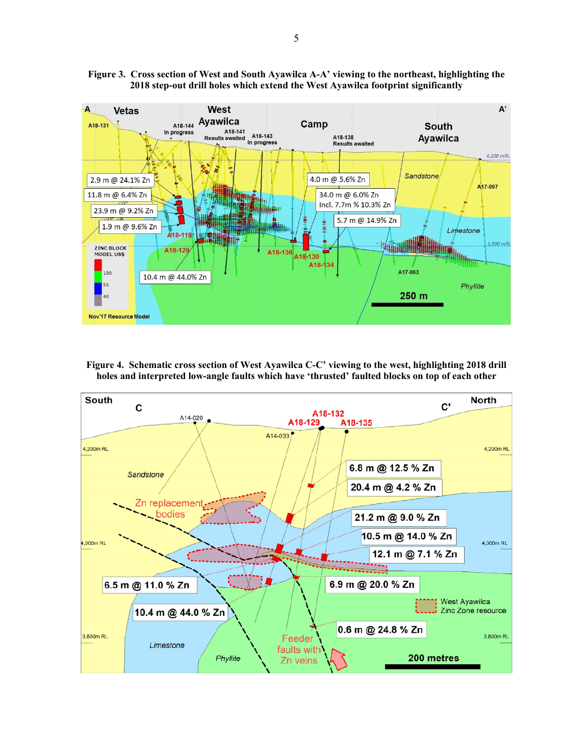

**Figure 3. Cross section of West and South Ayawilca A-A' viewing to the northeast, highlighting the 2018 step-out drill holes which extend the West Ayawilca footprint significantly** 

**Figure 4. Schematic cross section of West Ayawilca C-C' viewing to the west, highlighting 2018 drill holes and interpreted low-angle faults which have 'thrusted' faulted blocks on top of each other** 

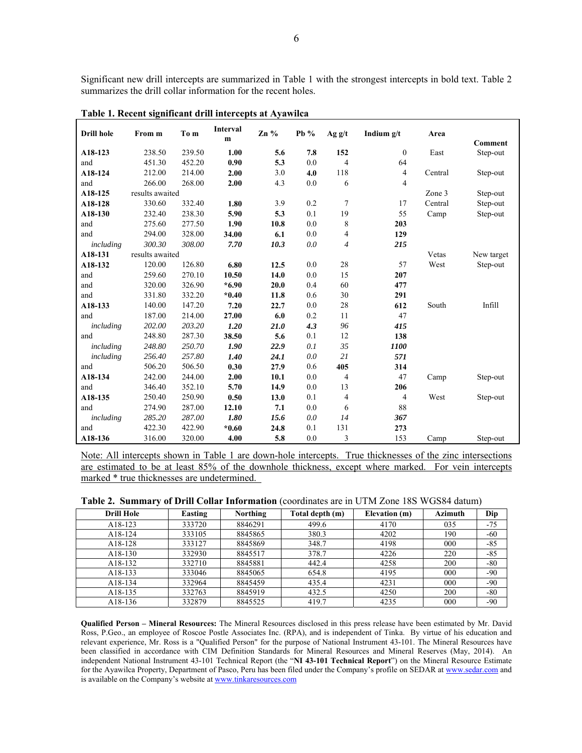Significant new drill intercepts are summarized in Table 1 with the strongest intercepts in bold text. Table 2 summarizes the drill collar information for the recent holes.

| <b>Drill hole</b> | From m          | To m   | <b>Interval</b><br>m | $Zn\%$ | Pb $%$ | Agg/t          | Indium $g/t$   | Area    | Comment    |
|-------------------|-----------------|--------|----------------------|--------|--------|----------------|----------------|---------|------------|
| A18-123           | 238.50          | 239.50 | 1.00                 | 5.6    | 7.8    | 152            | $\mathbf{0}$   | East    | Step-out   |
| and               | 451.30          | 452.20 | 0.90                 | 5.3    | 0.0    | 4              | 64             |         |            |
| A18-124           | 212.00          | 214.00 | 2.00                 | 3.0    | 4.0    | 118            | 4              | Central | Step-out   |
| and               | 266.00          | 268.00 | 2.00                 | 4.3    | 0.0    | 6              | $\overline{4}$ |         |            |
| A18-125           | results awaited |        |                      |        |        |                |                | Zone 3  | Step-out   |
| A18-128           | 330.60          | 332.40 | 1.80                 | 3.9    | 0.2    | $\overline{7}$ | 17             | Central | Step-out   |
| A18-130           | 232.40          | 238.30 | 5.90                 | 5.3    | 0.1    | 19             | 55             | Camp    | Step-out   |
| and               | 275.60          | 277.50 | 1.90                 | 10.8   | 0.0    | 8              | 203            |         |            |
| and               | 294.00          | 328.00 | 34.00                | 6.1    | 0.0    | 4              | 129            |         |            |
| including         | 300.30          | 308.00 | 7.70                 | 10.3   | 0.0    | $\overline{4}$ | 215            |         |            |
| A18-131           | results awaited |        |                      |        |        |                |                | Vetas   | New target |
| A18-132           | 120.00          | 126.80 | 6.80                 | 12.5   | 0.0    | 28             | 57             | West    | Step-out   |
| and               | 259.60          | 270.10 | 10.50                | 14.0   | 0.0    | 15             | 207            |         |            |
| and               | 320.00          | 326.90 | $*6.90$              | 20.0   | 0.4    | 60             | 477            |         |            |
| and               | 331.80          | 332.20 | $*0.40$              | 11.8   | 0.6    | 30             | 291            |         |            |
| A18-133           | 140.00          | 147.20 | 7.20                 | 22.7   | 0.0    | 28             | 612            | South   | Infill     |
| and               | 187.00          | 214.00 | 27.00                | 6.0    | 0.2    | 11             | 47             |         |            |
| including         | 202.00          | 203.20 | 1.20                 | 21.0   | 4.3    | 96             | 415            |         |            |
| and               | 248.80          | 287.30 | 38.50                | 5.6    | 0.1    | 12             | 138            |         |            |
| including         | 248.80          | 250.70 | 1.90                 | 22.9   | 0.1    | 35             | 1100           |         |            |
| including         | 256.40          | 257.80 | 1.40                 | 24.1   | 0.0    | 21             | 571            |         |            |
| and               | 506.20          | 506.50 | 0.30                 | 27.9   | 0.6    | 405            | 314            |         |            |
| A18-134           | 242.00          | 244.00 | 2.00                 | 10.1   | 0.0    | $\overline{4}$ | 47             | Camp    | Step-out   |
| and               | 346.40          | 352.10 | 5.70                 | 14.9   | 0.0    | 13             | 206            |         |            |
| A18-135           | 250.40          | 250.90 | 0.50                 | 13.0   | 0.1    | $\overline{4}$ | 4              | West    | Step-out   |
| and               | 274.90          | 287.00 | 12.10                | 7.1    | 0.0    | 6              | 88             |         |            |
| including         | 285.20          | 287.00 | 1.80                 | 15.6   | 0.0    | 14             | 367            |         |            |
| and               | 422.30          | 422.90 | $*0.60$              | 24.8   | 0.1    | 131            | 273            |         |            |
| A18-136           | 316.00          | 320.00 | 4.00                 | 5.8    | 0.0    | 3              | 153            | Camp    | Step-out   |

**Table 1. Recent significant drill intercepts at Ayawilca** 

Note: All intercepts shown in Table 1 are down-hole intercepts. True thicknesses of the zinc intersections are estimated to be at least 85% of the downhole thickness, except where marked. For vein intercepts marked \* true thicknesses are undetermined.

|  |  |  |  |  | Table 2. Summary of Drill Collar Information (coordinates are in UTM Zone 18S WGS84 datum) |  |  |  |  |  |  |
|--|--|--|--|--|--------------------------------------------------------------------------------------------|--|--|--|--|--|--|
|--|--|--|--|--|--------------------------------------------------------------------------------------------|--|--|--|--|--|--|

| <b>Drill Hole</b> | Easting | Northing | Total depth (m) | Elevation (m) | <b>Azimuth</b> | Dip   |
|-------------------|---------|----------|-----------------|---------------|----------------|-------|
| A18-123           | 333720  | 8846291  | 499.6           | 4170          | 035            | $-75$ |
| A18-124           | 333105  | 8845865  | 380.3           | 4202          | 190            | $-60$ |
| A18-128           | 333127  | 8845869  | 348.7           | 4198          | 000            | $-85$ |
| A18-130           | 332930  | 8845517  | 378.7           | 4226          | 220            | $-85$ |
| A18-132           | 332710  | 8845881  | 442.4           | 4258          | 200            | $-80$ |
| A18-133           | 333046  | 8845065  | 654.8           | 4195          | 000            | $-90$ |
| A18-134           | 332964  | 8845459  | 435.4           | 4231          | 000            | $-90$ |
| A18-135           | 332763  | 8845919  | 432.5           | 4250          | 200            | $-80$ |
| A18-136           | 332879  | 8845525  | 419.7           | 4235          | 000            | $-90$ |

**Qualified Person – Mineral Resources:** The Mineral Resources disclosed in this press release have been estimated by Mr. David Ross, P.Geo., an employee of Roscoe Postle Associates Inc. (RPA), and is independent of Tinka. By virtue of his education and relevant experience, Mr. Ross is a "Qualified Person" for the purpose of National Instrument 43-101. The Mineral Resources have been classified in accordance with CIM Definition Standards for Mineral Resources and Mineral Reserves (May, 2014). An independent National Instrument 43-101 Technical Report (the "**NI 43-101 Technical Report**") on the Mineral Resource Estimate for the Ayawilca Property, Department of Pasco, Peru has been filed under the Company's profile on SEDAR at www.sedar.com and is available on the Company's website at www.tinkaresources.com